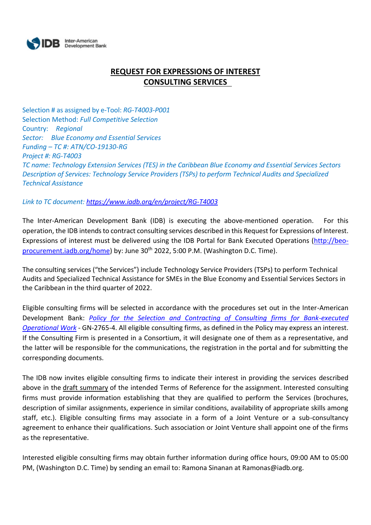

# **REQUEST FOR EXPRESSIONS OF INTEREST CONSULTING SERVICES**

Selection # as assigned by e-Tool: *RG-T4003-P001* Selection Method: *Full Competitive Selection* Country: *Regional Sector: Blue Economy and Essential Services Funding – TC #: ATN/CO-19130-RG Project #: RG-T4003 TC name: Technology Extension Services (TES) in the Caribbean Blue Economy and Essential Services Sectors Description of Services: Technology Service Providers (TSPs) to perform Technical Audits and Specialized Technical Assistance*

## *Link to TC document[: https://www.iadb.org/en/project/RG-T4003](https://www.iadb.org/en/project/RG-T4003)*

The Inter-American Development Bank (IDB) is executing the above-mentioned operation. For this operation, the IDB intends to contract consulting services described in this Request for Expressions of Interest. Expressions of interest must be delivered using the IDB Portal for Bank Executed Operations [\(http://beo](http://beo-procurement.iadb.org/home)[procurement.iadb.org/home\)](http://beo-procurement.iadb.org/home) by: June 30<sup>th</sup> 2022, 5:00 P.M. (Washington D.C. Time).

The consulting services ("the Services") include Technology Service Providers (TSPs) to perform Technical Audits and Specialized Technical Assistance for SMEs in the Blue Economy and Essential Services Sectors in the Caribbean in the third quarter of 2022.

Eligible consulting firms will be selected in accordance with the procedures set out in the Inter-American Development Bank: *[Policy for the Selection and Contracting of Consulting firms for Bank-executed](http://idbdocs.iadb.org/wsdocs/getdocument.aspx?DOCNUM=38988574)  [Operational Work](http://idbdocs.iadb.org/wsdocs/getdocument.aspx?DOCNUM=38988574)* - GN-2765-4. All eligible consulting firms, as defined in the Policy may express an interest. If the Consulting Firm is presented in a Consortium, it will designate one of them as a representative, and the latter will be responsible for the communications, the registration in the portal and for submitting the corresponding documents.

The IDB now invites eligible consulting firms to indicate their interest in providing the services described above in the draft summary of the intended Terms of Reference for the assignment. Interested consulting firms must provide information establishing that they are qualified to perform the Services (brochures, description of similar assignments, experience in similar conditions, availability of appropriate skills among staff, etc.). Eligible consulting firms may associate in a form of a Joint Venture or a sub-consultancy agreement to enhance their qualifications. Such association or Joint Venture shall appoint one of the firms as the representative.

Interested eligible consulting firms may obtain further information during office hours, 09:00 AM to 05:00 PM, (Washington D.C. Time) by sending an email to: Ramona Sinanan at Ramonas@iadb.org.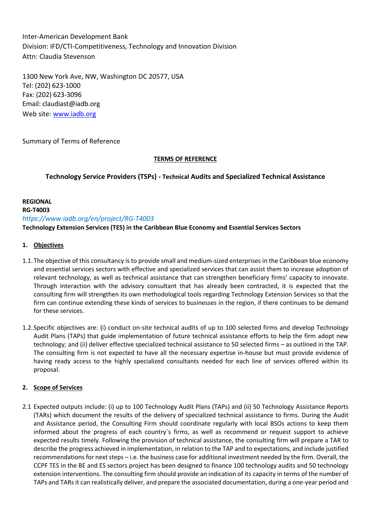Inter-American Development Bank Division: IFD/CTI-Competitiveness, Technology and Innovation Division Attn: Claudia Stevenson

1300 New York Ave, NW, Washington DC 20577, USA Tel: (202) 623-1000 Fax: (202) 623-3096 Email: claudiast@iadb.org Web site: [www.iadb.org](http://www.iadb.org/)

Summary of Terms of Reference

### **TERMS OF REFERENCE**

**Technology Service Providers (TSPs) - Technical Audits and Specialized Technical Assistance**

**REGIONAL RG-T4003**  *https://www.iadb.org/en/project/RG-T4003* **Technology Extension Services (TES) in the Caribbean Blue Economy and Essential Services Sectors**

## **1. Objectives**

- 1.1.The objective of this consultancy is to provide small and medium-sized enterprises in the Caribbean blue economy and essential services sectors with effective and specialized services that can assist them to increase adoption of relevant technology, as well as technical assistance that can strengthen beneficiary firms' capacity to innovate. Through interaction with the advisory consultant that has already been contracted, it is expected that the consulting firm will strengthen its own methodological tools regarding Technology Extension Services so that the firm can continue extending these kinds of services to businesses in the region, if there continues to be demand for these services.
- 1.2.Specific objectives are: (i) conduct on-site technical audits of up to 100 selected firms and develop Technology Audit Plans (TAPs) that guide implementation of future technical assistance efforts to help the firm adopt new technology; and (ii) deliver effective specialized technical assistance to 50 selected firms – as outlined in the TAP. The consulting firm is not expected to have all the necessary expertise in-house but must provide evidence of having ready access to the highly specialized consultants needed for each line of services offered within its proposal.

### **2. Scope of Services**

2.1 Expected outputs include: (i) up to 100 Technology Audit Plans (TAPs) and (ii) 50 Technology Assistance Reports (TARs) which document the results of the delivery of specialized technical assistance to firms. During the Audit and Assistance period, the Consulting Firm should coordinate regularly with local BSOs actions to keep them informed about the progress of each country´s firms, as well as recommend or request support to achieve expected results timely. Following the provision of technical assistance, the consulting firm will prepare a TAR to describe the progress achieved in implementation, in relation to the TAP and to expectations, and include justified recommendations for next steps – i.e. the business case for additional investment needed by the firm. Overall, the CCPF TES in the BE and ES sectors project has been designed to finance 100 technology audits and 50 technology extension interventions. The consulting firm should provide an indication of its capacity in terms of the number of TAPs and TARs it can realistically deliver, and prepare the associated documentation, during a one-year period and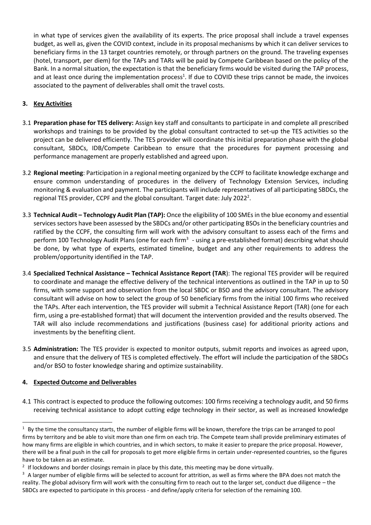in what type of services given the availability of its experts. The price proposal shall include a travel expenses budget, as well as, given the COVID context, include in its proposal mechanisms by which it can deliver services to beneficiary firms in the 13 target countries remotely, or through partners on the ground. The traveling expenses (hotel, transport, per diem) for the TAPs and TARs will be paid by Compete Caribbean based on the policy of the Bank. In a normal situation, the expectation is that the beneficiary firms would be visited during the TAP process, and at least once during the implementation process<sup>1</sup>. If due to COVID these trips cannot be made, the invoices associated to the payment of deliverables shall omit the travel costs.

## **3. Key Activities**

- 3.1 **Preparation phase for TES delivery:** Assign key staff and consultants to participate in and complete all prescribed workshops and trainings to be provided by the global consultant contracted to set-up the TES activities so the project can be delivered efficiently. The TES provider will coordinate this initial preparation phase with the global consultant, SBDCs, IDB/Compete Caribbean to ensure that the procedures for payment processing and performance management are properly established and agreed upon.
- 3.2 **Regional meeting**: Participation in a regional meeting organized by the CCPF to facilitate knowledge exchange and ensure common understanding of procedures in the delivery of Technology Extension Services, including monitoring & evaluation and payment. The participants will include representatives of all participating SBDCs, the regional TES provider, CCPF and the global consultant. Target date: July 2022<sup>2</sup>.
- 3.3 **Technical Audit – Technology Audit Plan (TAP):** Once the eligibility of 100 SMEs in the blue economy and essential services sectors have been assessed by the SBDCs and/or other participating BSOs in the beneficiary countries and ratified by the CCPF, the consulting firm will work with the advisory consultant to assess each of the firms and perform 100 Technology Audit Plans (one for each firm<sup>3</sup> - using a pre-established format) describing what should be done, by what type of experts, estimated timeline, budget and any other requirements to address the problem/opportunity identified in the TAP.
- 3.4 **Specialized Technical Assistance – Technical Assistance Report (TAR**): The regional TES provider will be required to coordinate and manage the effective delivery of the technical interventions as outlined in the TAP in up to 50 firms, with some support and observation from the local SBDC or BSO and the advisory consultant. The advisory consultant will advise on how to select the group of 50 beneficiary firms from the initial 100 firms who received the TAPs. After each intervention, the TES provider will submit a Technical Assistance Report (TAR) (one for each firm, using a pre-established format) that will document the intervention provided and the results observed. The TAR will also include recommendations and justifications (business case) for additional priority actions and investments by the benefiting client.
- 3.5 **Administration:** The TES provider is expected to monitor outputs, submit reports and invoices as agreed upon, and ensure that the delivery of TES is completed effectively. The effort will include the participation of the SBDCs and/or BSO to foster knowledge sharing and optimize sustainability.

### **4. Expected Outcome and Deliverables**

4.1 This contract is expected to produce the following outcomes: 100 firms receiving a technology audit, and 50 firms receiving technical assistance to adopt cutting edge technology in their sector, as well as increased knowledge

<sup>&</sup>lt;sup>1</sup> By the time the consultancy starts, the number of eligible firms will be known, therefore the trips can be arranged to pool firms by territory and be able to visit more than one firm on each trip. The Compete team shall provide preliminary estimates of how many firms are eligible in which countries, and in which sectors, to make it easier to prepare the price proposal. However, there will be a final push in the call for proposals to get more eligible firms in certain under-represented countries, so the figures have to be taken as an estimate.

 $2$  If lockdowns and border closings remain in place by this date, this meeting may be done virtually.

<sup>&</sup>lt;sup>3</sup> A larger number of eligible firms will be selected to account for attrition, as well as firms where the BPA does not match the reality. The global advisory firm will work with the consulting firm to reach out to the larger set, conduct due diligence – the SBDCs are expected to participate in this process - and define/apply criteria for selection of the remaining 100.